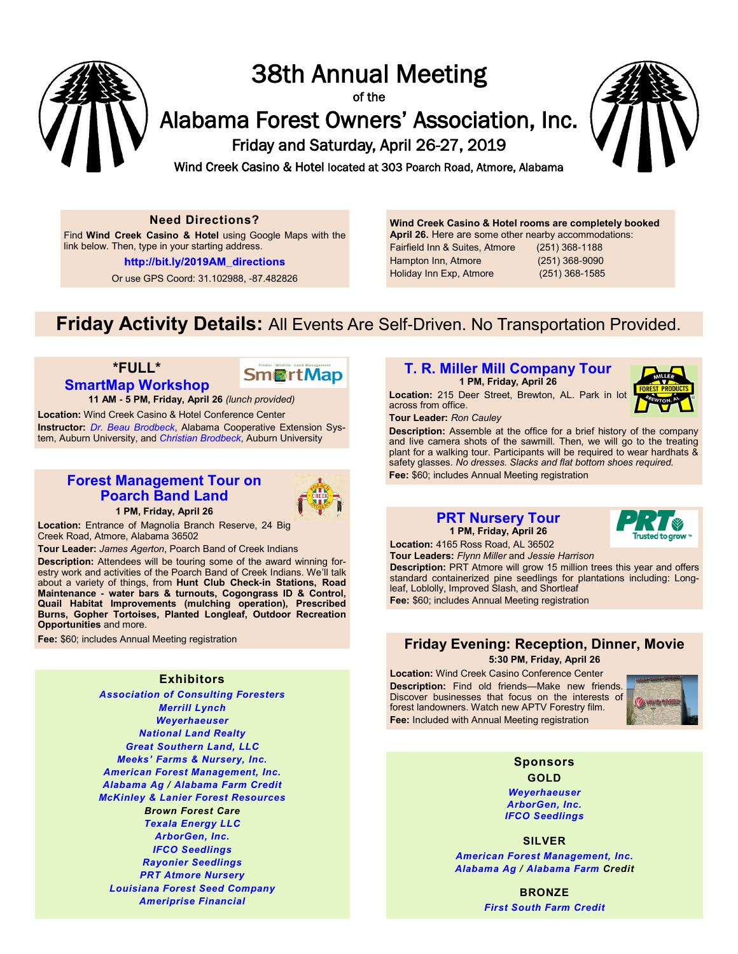

# 38th Annual Meeting

of the

Alabama Forest Owners' Association, Inc.

Friday and Saturday, April 26-27, 2019



Wind Creek Casino & Hotel located at 303 Poarch Road, Atmore, Alabama

#### **Need Directions?**

Find **Wind Creek Casino & Hotel** using Google Maps with the link below. Then, type in your starting address.

http://bit.ly/2019AM\_directions

Or use GPS Coord: 31.102988, -87.482826

**Wind Creek Casino & Hotel rooms are completely booked April 26.** Here are some other nearby accommodations: Fairfield Inn & Suites, Atmore (251) 368-1188 Hampton Inn, Atmore (251) 368-9090 Holiday Inn Exp, Atmore (251) 368-1585

## **Friday Activity Details:** All Events Are Self-Driven. No Transportation Provided.

### **\*FULL\* [SmartMap Workshop](https://www.youtube.com/watch?v=PwDqpcyf4ag)**



**11 AM - 5 PM, Friday, April 26** *(lunch provided)*

**Location:** Wind Creek Casino & Hotel Conference Center **Instructor:** *[Dr. Beau Brodbeck](http://www.afoa.org/bios/bio_ac.htm#BrodbeckB)*, Alabama Cooperative Extension System, Auburn University, and *[Christian Brodbeck](http://www.afoa.org/bios/bio_ac.htm#BrodbeckC)*, Auburn University

## **[Forest Management Tour on](http://www.magnoliabranch.com/)  [Poarch Band Land](http://www.magnoliabranch.com/)**



**1 PM, Friday, April 26**

**Location:** Entrance of Magnolia Branch Reserve, 24 Big Creek Road, Atmore, Alabama 36502

**Tour Leader:** *James Agerton*, Poarch Band of Creek Indians

**Description:** Attendees will be touring some of the award winning forestry work and activities of the Poarch Band of Creek Indians. We'll talk about a variety of things, from **Hunt Club Check-in Stations, Road Maintenance - water bars & turnouts, Cogongrass ID & Control, Quail Habitat Improvements (mulching operation), Prescribed Burns, Gopher Tortoises, Planted Longleaf, Outdoor Recreation Opportunities** and more.

**Fee:** \$60; includes Annual Meeting registration

#### **Exhibitors**

*[Association of Consulting Foresters](https://www.facebook.com/AlabamaACFChapter/) [Merrill Lynch](https://www.ml.com/MLWM/System/ViewFAPage.aspx?pageurl=desforgesplayermyers&locator=2C8C74AC-04AB-4D14-95D4-50E05906016C&_ga=1.159005562.1915976737.1492102275) [Weyerhaeuser](https://www.weyerhaeuser.com/timberlands/seedling-sales/southern-seedlings/contact-us/) [National Land Realty](https://nationalland.com/real-estate-agents-in-alabama) [Great Southern Land, LLC](http://greatsouthernland.com/) [Meeks' Farms & Nursery, Inc.](http://www.meeksfarms-nurserys.com/) [American Forest Management, Inc.](http://www.afoa.org/ServiceSupplies/ads1.htm#American_Forest_Management,_Inc.) [Alabama Ag](http://www.afoa.org/ServiceSupplies/ads1.htm#A434) / [Alabama Farm Credit](http://www.afoa.org/ServiceSupplies/ads1.htm#A185) [McKinley & Lanier Forest Resources](http://www.mlforestresources.com/) Brown Forest Care [Texala Energy LLC](https://texalaenergy.com/) [ArborGen, Inc.](http://www.arborgen.com) [IFCO Seedlings](http://www.ifcoseedlings.com) [Rayonier Seedlings](http://www.rayonierseedlings.com) [PRT Atmore Nursery](https://www.prt.com/contact/nursery-locations-usa/prt-atmore) [Louisiana Forest Seed Company](http://www.lfsco.com) [Ameriprise Financial](https://www.ameripriseadvisors.com/jason.l.cork)*

## **[T. R. Miller Mill Company Tour](http://www.trmillermill.com/)**

**1 PM, Friday, April 26**

**Location:** 215 Deer Street, Brewton, AL. Park in lot across from office.



**Tour Leader:** *Ron Cauley*

**Description:** Assemble at the office for a brief history of the company and live camera shots of the sawmill. Then, we will go to the treating plant for a walking tour. Participants will be required to wear hardhats & safety glasses. *No dresses. Slacks and flat bottom shoes required.* **Fee:** \$60; includes Annual Meeting registration

#### **[PRT Nursery Tour](https://www.prt.com/contact/nursery-locations/prt-atmore) 1 PM, Friday, April 26**



**Location:** 4165 Ross Road, AL 36502 **Tour Leaders:** *Flynn Miller* and *Jessie Harrison*

**Description:** PRT Atmore will grow 15 million trees this year and offers standard containerized pine seedlings for plantations including: Longleaf, Loblolly, Improved Slash, and Shortleaf **Fee:** \$60; includes Annual Meeting registration

### **Friday Evening: Reception, Dinner, Movie 5:30 PM, Friday, April 26**

**Location:** Wind Creek Casino Conference Center **Description:** Find old friends—Make new friends. Discover businesses that focus on the interests of forest landowners. Watch new APTV Forestry film. **Fee:** Included with Annual Meeting registration



**Sponsors GOLD**

*[Weyerhaeuser](https://www.weyerhaeuser.com/timberlands/seedling-sales/southern-seedlings/contact-us/) [ArborGen, Inc.](http://www.arborgen.com) [IFCO Seedlings](http://www.ifcoseedlings.com)*

**SILVER**

*[American Forest Management, Inc.](http://www.afoa.org/ServiceSupplies/ads1.htm#American_Forest_Management,_Inc.) [Alabama Ag](http://www.afoa.org/ServiceSupplies/ads1.htm#A434) / [Alabama Farm](http://www.afoa.org/ServiceSupplies/ads1.htm#A185) Credit*

> **BRONZE** *[First South Farm Credit](http://www.firstsouthland.com)*